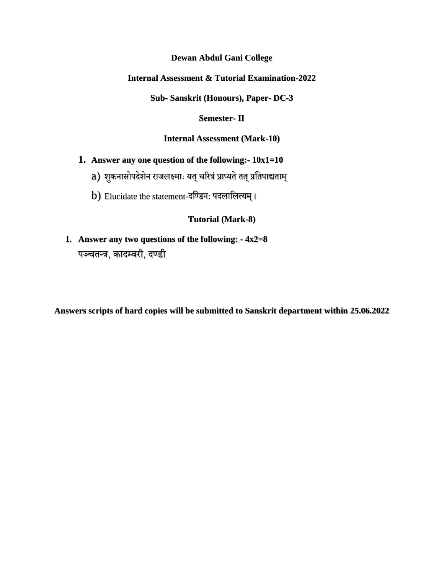**Dewan Abdul Gani College**

**Internal Assessment & Tutorial Examination-2022**

**Sub- Sanskrit (Honours), Paper- DC-3**

**Semester- II**

**Internal Assessment (Mark-10)**

- **1. Answer any one question of the following:- 10x1=10**
	- a) शुकनासोपदेशेन राजलक्ष्माः यत् चरित्रं प्राप्यते तत् प्रतिपाद्यताम्
	- b) Elucidate the statement-दण्डिन: पदलालित्यम् ।

# **Tutorial (Mark-8)**

**1. Answer any two questions of the following: - 4x2=8** पञ्चतन्त्र, कादम्वरी, दण्डी

**Answers scripts of hard copies will be submitted to Sanskrit department within 25.06.2022**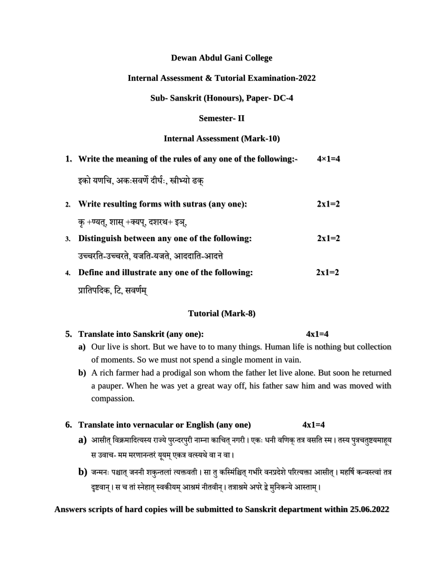## **Dewan Abdul Gani College**

## **Internal Assessment & Tutorial Examination-2022**

#### **Sub- Sanskrit (Honours), Paper- DC-4**

#### **Semester- II**

#### **Internal Assessment (Mark-10)**

**1. Write the meaning of the rules of any one of the following:- 4×1=4** इको यणतच, अकाःसवणे दीर्घाः, स्त्रीभ्यो ढक् **2. Write resulting forms with sutras (any one): 2x1=2** कृ +ण्यत्, शास् +क्यप्, दशरथ+ इञ्, **3. Distinguish between any one of the following: 2x1=2** उच्चरतत-उच्चरते, यजतत-यजते, आददातत-आदत्ते **4. Define and illustrate any one of the following: 2x1=2**

प्रातिपदिक, टि, सवर्णम्

### **Tutorial (Mark-8)**

| 5. Translate into Sanskrit (any one):                                                     | $4x1=4$ |
|-------------------------------------------------------------------------------------------|---------|
| a) Our live is short. But we have to to many things. Human life is nothing but collection |         |
| of moments. So we must not spend a single moment in vain.                                 |         |

**b)** A rich farmer had a prodigal son whom the father let live alone. But soon he returned a pauper. When he was yet a great way off, his father saw him and was moved with compassion.

### **6. Translate into vernacular or English (any one) 4x1=4**

- **a)** आसीत् विक्रमादित्यस्य राज्ये पुरन्दरपुरी नाम्ना काचित् नगरी। एकः धनी वणिक् तत्र वसति स्म। तस्य पुत्रचतुष्टयमाहूय स उवाच- मम मरणानन्तरं यूयम् एकत्र वत्स्यथे वा न वा।
- **b**) जन्मनः पश्चात् जननी शकुन्तलां त्यक्तवती । सा तु कस्मिंश्चित् गभीरे वनप्रदेशे परित्यक्ता आसीत् । महर्षि कन्वस्त्वां तत्र दृष्टवान् । स च तां स्नेहात् स्वकीयम् आश्रमं नीतवीन् । तत्राश्रमे अपरे द्वे मुनिकन्ये आस्ताम् ।

### **Answers scripts of hard copies will be submitted to Sanskrit department within 25.06.2022**